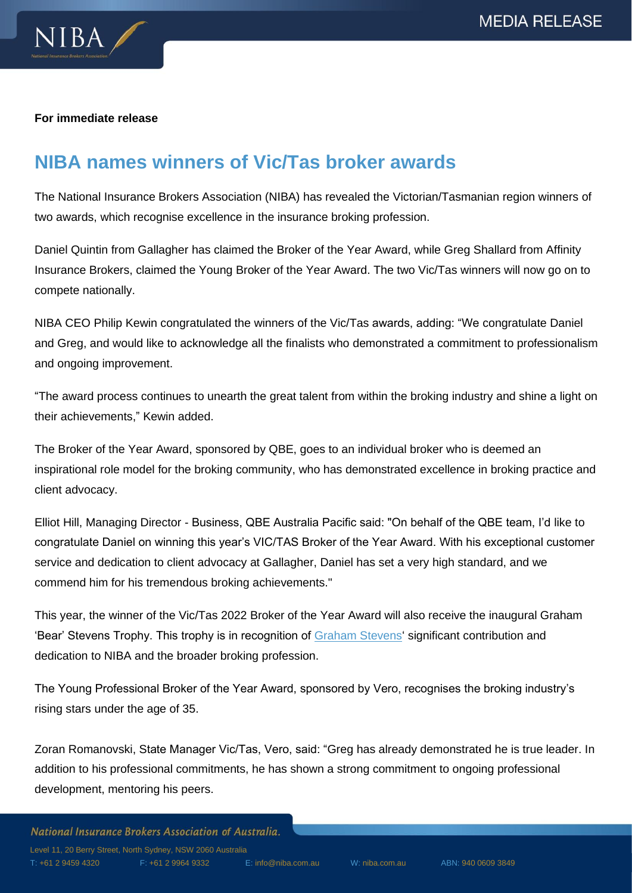

#### **For immediate release**

# **NIBA names winners of Vic/Tas broker awards**

The National Insurance Brokers Association (NIBA) has revealed the Victorian/Tasmanian region winners of two awards, which recognise excellence in the insurance broking profession.

Daniel Quintin from Gallagher has claimed the Broker of the Year Award, while Greg Shallard from Affinity Insurance Brokers, claimed the Young Broker of the Year Award. The two Vic/Tas winners will now go on to compete nationally.

NIBA CEO Philip Kewin congratulated the winners of the Vic/Tas awards, adding: "We congratulate Daniel and Greg, and would like to acknowledge all the finalists who demonstrated a commitment to professionalism and ongoing improvement.

"The award process continues to unearth the great talent from within the broking industry and shine a light on their achievements," Kewin added.

The Broker of the Year Award, sponsored by QBE, goes to an individual broker who is deemed an inspirational role model for the broking community, who has demonstrated excellence in broking practice and client advocacy.

Elliot Hill, Managing Director - Business, QBE Australia Pacific said: "On behalf of the QBE team, I'd like to congratulate Daniel on winning this year's VIC/TAS Broker of the Year Award. With his exceptional customer service and dedication to client advocacy at Gallagher, Daniel has set a very high standard, and we commend him for his tremendous broking achievements."

This year, the winner of the Vic/Tas 2022 Broker of the Year Award will also receive the inaugural Graham 'Bear' Stevens Trophy. This trophy is in recognition of [Graham Stevens'](https://www.niba.com.au/2022/05/11/remembering-graham-stevens/) significant contribution and dedication to NIBA and the broader broking profession.

The Young Professional Broker of the Year Award, sponsored by Vero, recognises the broking industry's rising stars under the age of 35.

Zoran Romanovski, State Manager Vic/Tas, Vero, said: "Greg has already demonstrated he is true leader. In addition to his professional commitments, he has shown a strong commitment to ongoing professional development, mentoring his peers.

National Insurance Brokers Association of Australia. Level 11, 20 Berry Street, North Sydney, NSW 2060 Australia T: +61 2 9459 4320 F: +61 2 9964 9332 E[: info@niba.com.au](mailto:info@niba.com.au) W: niba.com.au ABN: 940 0609 3849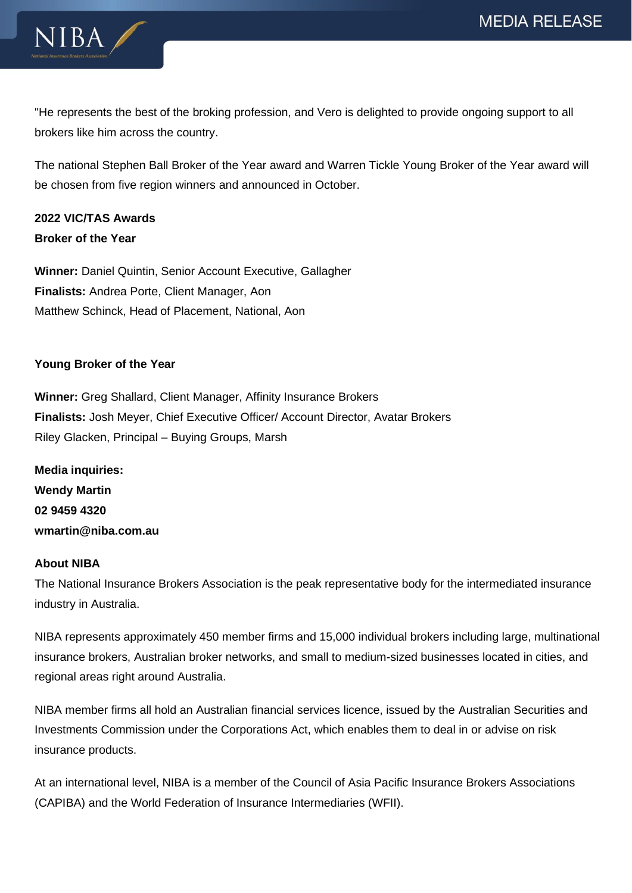



"He represents the best of the broking profession, and Vero is delighted to provide ongoing support to all brokers like him across the country.

The national Stephen Ball Broker of the Year award and Warren Tickle Young Broker of the Year award will be chosen from five region winners and announced in October.

## **2022 VIC/TAS Awards Broker of the Year**

**Winner:** Daniel Quintin, Senior Account Executive, Gallagher **Finalists:** Andrea Porte, Client Manager, Aon Matthew Schinck, Head of Placement, National, Aon

## **Young Broker of the Year**

**Winner:** Greg Shallard, Client Manager, Affinity Insurance Brokers **Finalists:** Josh Meyer, Chief Executive Officer/ Account Director, Avatar Brokers Riley Glacken, Principal – Buying Groups, Marsh

**Media inquiries: Wendy Martin 02 9459 4320 wmartin@niba.com.au**

### **About NIBA**

The National Insurance Brokers Association is the peak representative body for the intermediated insurance industry in Australia.

NIBA represents approximately 450 member firms and 15,000 individual brokers including large, multinational insurance brokers, Australian broker networks, and small to medium-sized businesses located in cities, and regional areas right around Australia.

NIBA member firms all hold an Australian financial services licence, issued by the Australian Securities and Investments Commission under the Corporations Act, which enables them to deal in or advise on risk insurance products.

At an international level, NIBA is a member of the Council of Asia Pacific Insurance Brokers Associations (CAPIBA) and the World Federation of Insurance Intermediaries (WFII).